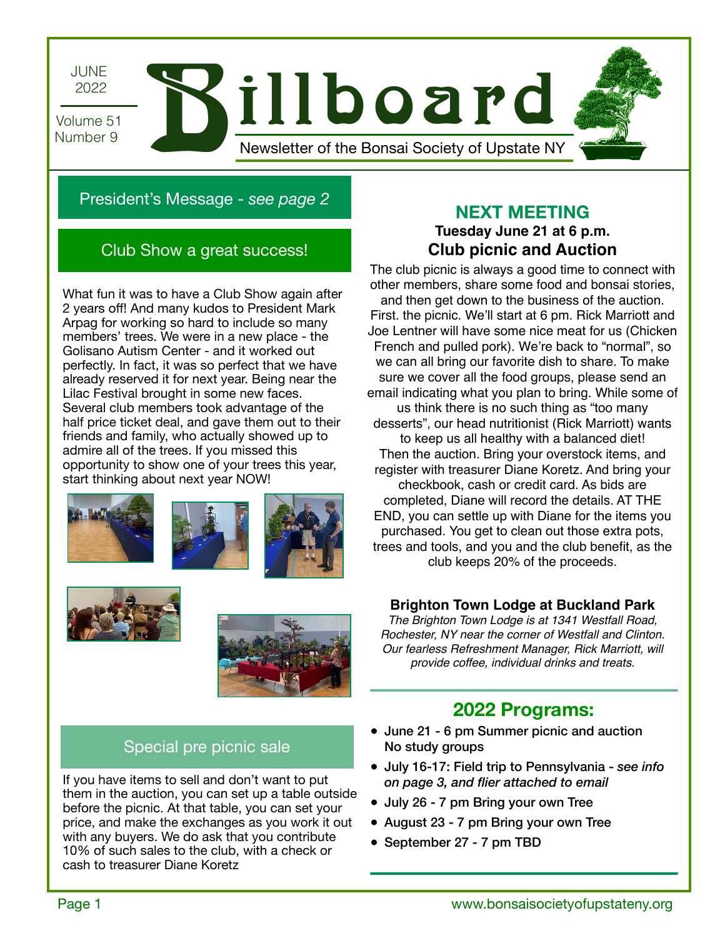

## President's Message - *see page 2*

### Club Show a great success!

What fun it was to have a Club Show again after 2 years off! And many kudos to President Mark Arpag for working so hard to include so many members' trees. We were in a new place - the Golisano Autism Center - and it worked out perfectly. In fact, it was so perfect that we have already reserved it for next year. Being near the Lilac Festival brought in some new faces. Several club members took advantage of the half price ticket deal, and gave them out to their friends and family, who actually showed up to admire all of the trees. If you missed this opportunity to show one of your trees this year, start thinking about next year NOW!











### **NEXT MEETING Tuesday June 21 at 6 p.m.**

# **Club picnic and Auction**

The club picnic is always a good time to connect with other members, share some food and bonsai stories, and then get down to the business of the auction. First. the picnic. We'll start at 6 pm. Rick Marriott and Joe Lentner will have some nice meat for us (Chicken French and pulled pork). We're back to "normal", so we can all bring our favorite dish to share. To make sure we cover all the food groups, please send an email indicating what you plan to bring. While some of us think there is no such thing as "too many desserts", our head nutritionist (Rick Marriott) wants to keep us all healthy with a balanced diet! Then the auction. Bring your overstock items, and register with treasurer Diane Koretz. And bring your checkbook, cash or credit card. As bids are completed, Diane will record the details. AT THE END, you can settle up with Diane for the items you purchased. You get to clean out those extra pots, trees and tools, and you and the club benefit, as the club keeps 20% of the proceeds.

### **Brighton Town Lodge at Buckland Park**

*The Brighton Town Lodge is at 1341 Westfall Road, Rochester, NY near the corner of Westfall and Clinton. Our fearless Refreshment Manager, Rick Marriott, will provide coffee, individual drinks and treats.* 

## **2022 Programs:**

- June 21 6 pm Summer picnic and auction No study groups
- July 16-17: Field trip to Pennsylvania *see info on page 3, and flier attached to email*
- July 26 7 pm Bring your own Tree
- August 23 7 pm Bring your own Tree
- September 27 7 pm TBD

# Special pre picnic sale

If you have items to sell and don't want to put them in the auction, you can set up a table outside before the picnic. At that table, you can set your price, and make the exchanges as you work it out with any buyers. We do ask that you contribute 10% of such sales to the club, with a check or cash to treasurer Diane Koretz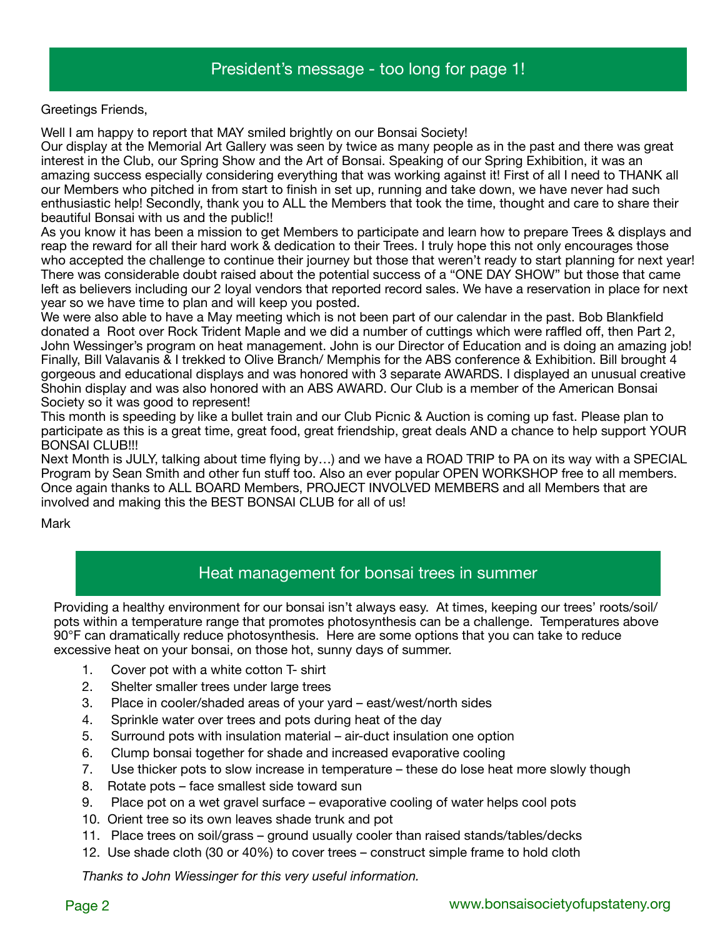Greetings Friends,

Well I am happy to report that MAY smiled brightly on our Bonsai Society!

Our display at the Memorial Art Gallery was seen by twice as many people as in the past and there was great interest in the Club, our Spring Show and the Art of Bonsai. Speaking of our Spring Exhibition, it was an amazing success especially considering everything that was working against it! First of all I need to THANK all our Members who pitched in from start to finish in set up, running and take down, we have never had such enthusiastic help! Secondly, thank you to ALL the Members that took the time, thought and care to share their beautiful Bonsai with us and the public!!

As you know it has been a mission to get Members to participate and learn how to prepare Trees & displays and reap the reward for all their hard work & dedication to their Trees. I truly hope this not only encourages those who accepted the challenge to continue their journey but those that weren't ready to start planning for next year! There was considerable doubt raised about the potential success of a "ONE DAY SHOW" but those that came left as believers including our 2 loyal vendors that reported record sales. We have a reservation in place for next year so we have time to plan and will keep you posted.

We were also able to have a May meeting which is not been part of our calendar in the past. Bob Blankfield donated a Root over Rock Trident Maple and we did a number of cuttings which were raffled off, then Part 2, John Wessinger's program on heat management. John is our Director of Education and is doing an amazing job! Finally, Bill Valavanis & I trekked to Olive Branch/ Memphis for the ABS conference & Exhibition. Bill brought 4 gorgeous and educational displays and was honored with 3 separate AWARDS. I displayed an unusual creative Shohin display and was also honored with an ABS AWARD. Our Club is a member of the American Bonsai Society so it was good to represent!

This month is speeding by like a bullet train and our Club Picnic & Auction is coming up fast. Please plan to participate as this is a great time, great food, great friendship, great deals AND a chance to help support YOUR BONSAI CLUB!!!

Next Month is JULY, talking about time flying by…) and we have a ROAD TRIP to PA on its way with a SPECIAL Program by Sean Smith and other fun stuff too. Also an ever popular OPEN WORKSHOP free to all members. Once again thanks to ALL BOARD Members, PROJECT INVOLVED MEMBERS and all Members that are involved and making this the BEST BONSAI CLUB for all of us!

Mark

### Heat management for bonsai trees in summer

Providing a healthy environment for our bonsai isn't always easy. At times, keeping our trees' roots/soil/ pots within a temperature range that promotes photosynthesis can be a challenge. Temperatures above 90°F can dramatically reduce photosynthesis. Here are some options that you can take to reduce excessive heat on your bonsai, on those hot, sunny days of summer.

- 1. Cover pot with a white cotton T- shirt
- 2. Shelter smaller trees under large trees
- 3. Place in cooler/shaded areas of your yard east/west/north sides
- 4. Sprinkle water over trees and pots during heat of the day
- 5. Surround pots with insulation material air-duct insulation one option
- 6. Clump bonsai together for shade and increased evaporative cooling
- 7. Use thicker pots to slow increase in temperature these do lose heat more slowly though
- 8. Rotate pots face smallest side toward sun
- 9. Place pot on a wet gravel surface evaporative cooling of water helps cool pots
- 10. Orient tree so its own leaves shade trunk and pot
- 11. Place trees on soil/grass ground usually cooler than raised stands/tables/decks
- 12. Use shade cloth (30 or 40%) to cover trees construct simple frame to hold cloth

*Thanks to John Wiessinger for this very useful information.*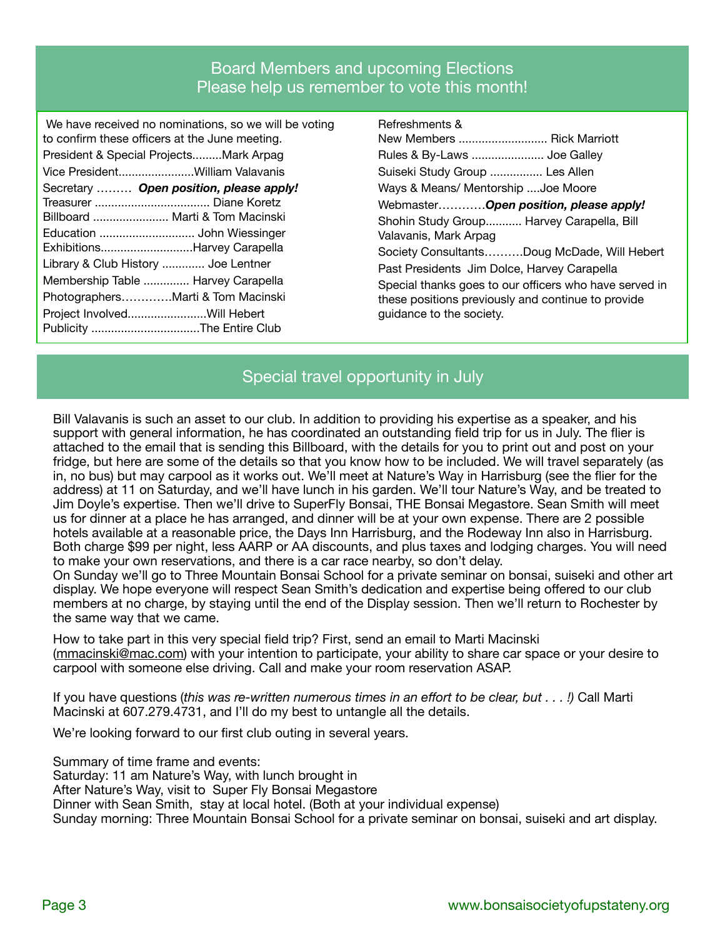### Board Members and upcoming Elections Please help us remember to vote this month!

| We have received no nominations, so we will be voting                      |
|----------------------------------------------------------------------------|
| to confirm these officers at the June meeting.                             |
| President & Special ProjectsMark Arpag                                     |
| Vice PresidentWilliam Valavanis                                            |
| Secretary  Open position, please apply!<br>Billboard  Marti & Tom Macinski |
| Education  John Wiessinger<br>ExhibitionsHarvey Carapella                  |
| Library & Club History  Joe Lentner                                        |
| Membership Table  Harvey Carapella                                         |
| PhotographersMarti & Tom Macinski                                          |
| Project InvolvedWill Hebert<br>Publicity The Entire Club                   |

Refreshments & New Members ........................... Rick Marriott Rules & By-Laws ...................... Joe Galley Suiseki Study Group ................ Les Allen Ways & Means/ Mentorship ....Joe Moore Webmaster…………*Open position, please apply!*  Shohin Study Group........... Harvey Carapella, Bill Valavanis, Mark Arpag Society Consultants……….Doug McDade, Will Hebert Past Presidents Jim Dolce, Harvey Carapella Special thanks goes to our officers who have served in these positions previously and continue to provide guidance to the society.

### Special travel opportunity in July

Bill Valavanis is such an asset to our club. In addition to providing his expertise as a speaker, and his support with general information, he has coordinated an outstanding field trip for us in July. The flier is attached to the email that is sending this Billboard, with the details for you to print out and post on your fridge, but here are some of the details so that you know how to be included. We will travel separately (as in, no bus) but may carpool as it works out. We'll meet at Nature's Way in Harrisburg (see the flier for the address) at 11 on Saturday, and we'll have lunch in his garden. We'll tour Nature's Way, and be treated to Jim Doyle's expertise. Then we'll drive to SuperFly Bonsai, THE Bonsai Megastore. Sean Smith will meet us for dinner at a place he has arranged, and dinner will be at your own expense. There are 2 possible hotels available at a reasonable price, the Days Inn Harrisburg, and the Rodeway Inn also in Harrisburg. Both charge \$99 per night, less AARP or AA discounts, and plus taxes and lodging charges. You will need to make your own reservations, and there is a car race nearby, so don't delay.

On Sunday we'll go to Three Mountain Bonsai School for a private seminar on bonsai, suiseki and other art display. We hope everyone will respect Sean Smith's dedication and expertise being offered to our club members at no charge, by staying until the end of the Display session. Then we'll return to Rochester by the same way that we came.

How to take part in this very special field trip? First, send an email to Marti Macinski ([mmacinski@mac.com](mailto:mmacinski@mac.com)) with your intention to participate, your ability to share car space or your desire to carpool with someone else driving. Call and make your room reservation ASAP.

If you have questions (*this was re-written numerous times in an effort to be clear, but . . . !)* Call Marti Macinski at 607.279.4731, and I'll do my best to untangle all the details.

We're looking forward to our first club outing in several years.

Summary of time frame and events:

Saturday: 11 am Nature's Way, with lunch brought in

After Nature's Way, visit to Super Fly Bonsai Megastore

Dinner with Sean Smith, stay at local hotel. (Both at your individual expense)

Sunday morning: Three Mountain Bonsai School for a private seminar on bonsai, suiseki and art display.